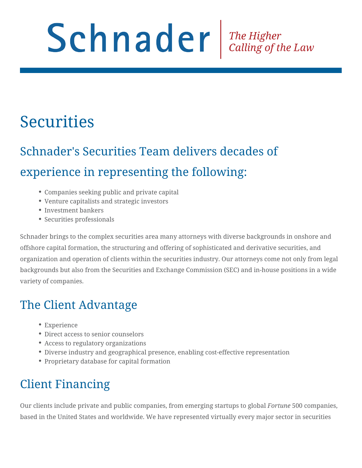# Schnader Fine Higher Calling of the Law

# **Securities**

# Schnader's Securities Team delivers decades of experience in representing the following:

- Companies seeking public and private capital
- Venture capitalists and strategic investors
- Investment bankers
- Securities professionals

Schnader brings to the complex securities area many attorneys with diverse backgrounds in onshore and offshore capital formation, the structuring and offering of sophisticated and derivative securities, and organization and operation of clients within the securities industry. Our attorneys come not only from legal backgrounds but also from the Securities and Exchange Commission (SEC) and in-house positions in a wide variety of companies.

## The Client Advantage

- Experience
- Direct access to senior counselors
- Access to regulatory organizations
- Diverse industry and geographical presence, enabling cost-effective representation
- Proprietary database for capital formation

## Client Financing

Our clients include private and public companies, from emerging startups to global *Fortune* 500 companies, based in the United States and worldwide. We have represented virtually every major sector in securities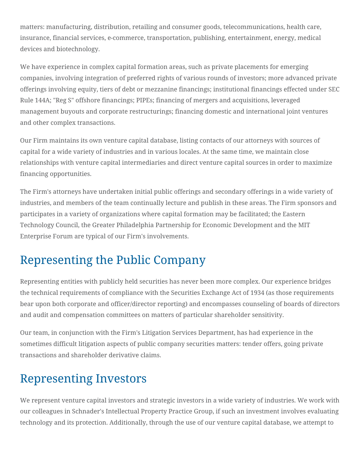matters: manufacturing, distribution, retailing and consumer goods, telecommunications, health care, insurance, financial services, e-commerce, transportation, publishing, entertainment, energy, medical devices and biotechnology.

We have experience in complex capital formation areas, such as private placements for emerging companies, involving integration of preferred rights of various rounds of investors; more advanced private offerings involving equity, tiers of debt or mezzanine financings; institutional financings effected under SEC Rule 144A; "Reg S" offshore financings; PIPEs; financing of mergers and acquisitions, leveraged management buyouts and corporate restructurings; financing domestic and international joint ventures and other complex transactions.

Our Firm maintains its own venture capital database, listing contacts of our attorneys with sources of capital for a wide variety of industries and in various locales. At the same time, we maintain close relationships with venture capital intermediaries and direct venture capital sources in order to maximize financing opportunities.

The Firm's attorneys have undertaken initial public offerings and secondary offerings in a wide variety of industries, and members of the team continually lecture and publish in these areas. The Firm sponsors and participates in a variety of organizations where capital formation may be facilitated; the Eastern Technology Council, the Greater Philadelphia Partnership for Economic Development and the MIT Enterprise Forum are typical of our Firm's involvements.

## Representing the Public Company

Representing entities with publicly held securities has never been more complex. Our experience bridges the technical requirements of compliance with the Securities Exchange Act of 1934 (as those requirements bear upon both corporate and officer/director reporting) and encompasses counseling of boards of directors and audit and compensation committees on matters of particular shareholder sensitivity.

Our team, in conjunction with the Firm's Litigation Services Department, has had experience in the sometimes difficult litigation aspects of public company securities matters: tender offers, going private transactions and shareholder derivative claims.

#### Representing Investors

We represent venture capital investors and strategic investors in a wide variety of industries. We work with our colleagues in Schnader's Intellectual Property Practice Group, if such an investment involves evaluating technology and its protection. Additionally, through the use of our venture capital database, we attempt to